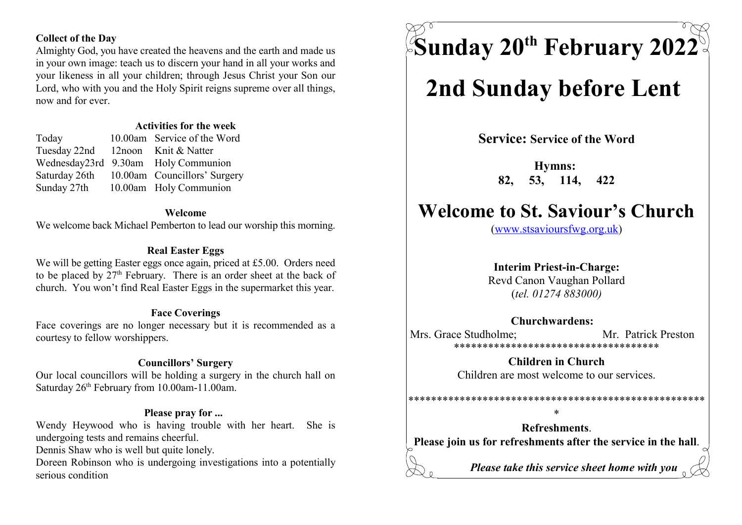# Collect of the Day

Almighty God, you have created the heavens and the earth and made us in your own image: teach us to discern your hand in all your works and your likeness in all your children; through Jesus Christ your Son our Lord, who with you and the Holy Spirit reigns supreme over all things, now and for ever.

# Activities for the week

Tuesday 22nd 12noon Knit & Natter

Today 10.00am Service of the Word Wednesday23rd 9.30am Holy Communion Saturday 26th 10.00am Councillors' Surgery Sunday 27th 10.00am Holy Communion

#### Welcome

We welcome back Michael Pemberton to lead our worship this morning.

### Real Easter Eggs

We will be getting Easter eggs once again, priced at £5.00. Orders need to be placed by  $27<sup>th</sup>$  February. There is an order sheet at the back of church. You won't find Real Easter Eggs in the supermarket this year.

### Face Coverings

Face coverings are no longer necessary but it is recommended as a courtesy to fellow worshippers.

# Councillors' Surgery

Our local councillors will be holding a surgery in the church hall on Saturday  $26<sup>th</sup>$  February from 10.00am-11.00am.

### Please pray for ...

Wendy Heywood who is having trouble with her heart. She is undergoing tests and remains cheerful.

Dennis Shaw who is well but quite lonely.

Doreen Robinson who is undergoing investigations into a potentially serious condition

 $\%$ Sunday 20<sup>th</sup> February 2022  $^{\circ}$ 

# 2nd Sunday before Lent

Service: Service of the Word

Hymns: 82, 53, 114, 422

# Welcome to St. Saviour's Church

(www.stsavioursfwg.org.uk)

# Interim Priest-in-Charge:

Revd Canon Vaughan Pollard (tel. 01274 883000)

### Churchwardens:

Mrs. Grace Studholme: Mr. Patrick Preston \*\*\*\*\*\*\*\*\*\*\*\*\*\*\*\*\*\*\*\*\*\*\*\*\*\*\*\*\*\*\*\*\*\*\*\*

> Children in Church Children are most welcome to our services.

\*\*\*\*\*\*\*\*\*\*\*\*\*\*\*\*\*\*\*\*\*\*\*\*\*\*\*\*\*\*\*\*\*\*\*\*\*\*\*\*\*\*\*\*\*\*\*\*\*\*\*\*

\*

Refreshments. Please join us for refreshments after the service in the hall.

Please take this service sheet home with you